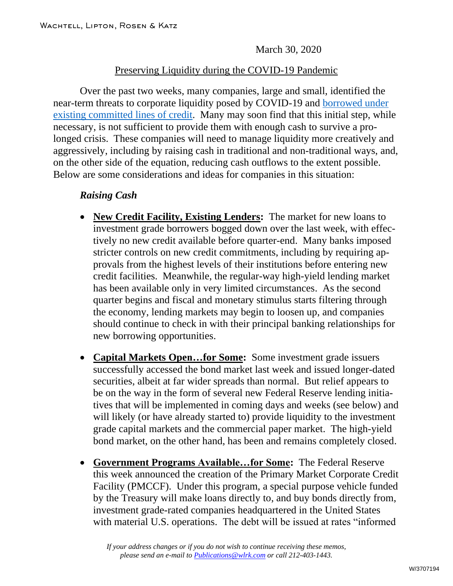March 30, 2020

## Preserving Liquidity during the COVID-19 Pandemic

Over the past two weeks, many companies, large and small, identified the near-term threats to corporate liquidity posed by COVID-19 and [borrowed under](https://www.wlrk.com/webdocs/wlrknew/WLRKMemos/WLRK/WLRK.26845.20.pdf)  [existing committed lines of credit.](https://www.wlrk.com/webdocs/wlrknew/WLRKMemos/WLRK/WLRK.26845.20.pdf) Many may soon find that this initial step, while necessary, is not sufficient to provide them with enough cash to survive a prolonged crisis. These companies will need to manage liquidity more creatively and aggressively, including by raising cash in traditional and non-traditional ways, and, on the other side of the equation, reducing cash outflows to the extent possible. Below are some considerations and ideas for companies in this situation:

## *Raising Cash*

- **New Credit Facility, Existing Lenders:** The market for new loans to investment grade borrowers bogged down over the last week, with effectively no new credit available before quarter-end. Many banks imposed stricter controls on new credit commitments, including by requiring approvals from the highest levels of their institutions before entering new credit facilities. Meanwhile, the regular-way high-yield lending market has been available only in very limited circumstances. As the second quarter begins and fiscal and monetary stimulus starts filtering through the economy, lending markets may begin to loosen up, and companies should continue to check in with their principal banking relationships for new borrowing opportunities.
- **Capital Markets Open…for Some:** Some investment grade issuers successfully accessed the bond market last week and issued longer-dated securities, albeit at far wider spreads than normal. But relief appears to be on the way in the form of several new Federal Reserve lending initiatives that will be implemented in coming days and weeks (see below) and will likely (or have already started to) provide liquidity to the investment grade capital markets and the commercial paper market. The high-yield bond market, on the other hand, has been and remains completely closed.
- **Government Programs Available…for Some:** The Federal Reserve this week announced the creation of the Primary Market Corporate Credit Facility (PMCCF). Under this program, a special purpose vehicle funded by the Treasury will make loans directly to, and buy bonds directly from, investment grade-rated companies headquartered in the United States with material U.S. operations. The debt will be issued at rates "informed

*If your address changes or if you do not wish to continue receiving these memos, please send an e-mail to [Publications@wlrk.com](mailto:Publications@wlrk.com) or call 212-403-1443.*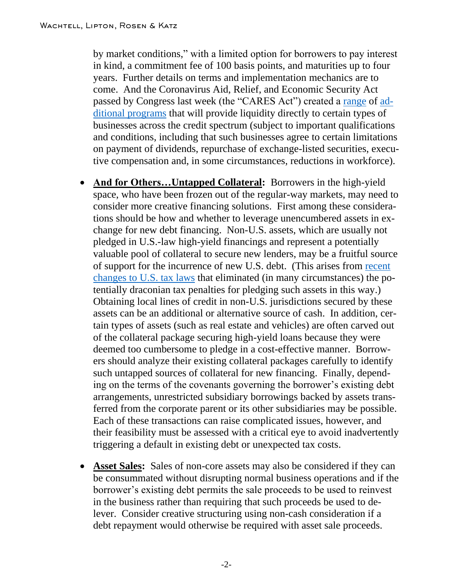by market conditions," with a limited option for borrowers to pay interest in kind, a commitment fee of 100 basis points, and maturities up to four years. Further details on terms and implementation mechanics are to come. And the Coronavirus Aid, Relief, and Economic Security Act passed by Congress last week (the "CARES Act") created a [range](https://www.wlrk.com/webdocs/wlrknew/WLRKMemos/WLRK/WLRK.26879.20.pdf) of [ad](https://www.wlrk.com/webdocs/wlrknew/WLRKMemos/WLRK/WLRK.26881.20.pdf)[ditional programs](https://www.wlrk.com/webdocs/wlrknew/WLRKMemos/WLRK/WLRK.26881.20.pdf) that will provide liquidity directly to certain types of businesses across the credit spectrum (subject to important qualifications and conditions, including that such businesses agree to certain limitations on payment of dividends, repurchase of exchange-listed securities, executive compensation and, in some circumstances, reductions in workforce).

- **And for Others...Untapped Collateral:** Borrowers in the high-yield space, who have been frozen out of the regular-way markets, may need to consider more creative financing solutions. First among these considerations should be how and whether to leverage unencumbered assets in exchange for new debt financing. Non-U.S. assets, which are usually not pledged in U.S.-law high-yield financings and represent a potentially valuable pool of collateral to secure new lenders, may be a fruitful source of support for the incurrence of new U.S. debt. (This arises from [recent](https://www.wlrk.com/webdocs/wlrknew/WLRKMemos/WLRK/WLRK.26268.18.pdf)  [changes to U.S. tax laws](https://www.wlrk.com/webdocs/wlrknew/WLRKMemos/WLRK/WLRK.26268.18.pdf) that eliminated (in many circumstances) the potentially draconian tax penalties for pledging such assets in this way.) Obtaining local lines of credit in non-U.S. jurisdictions secured by these assets can be an additional or alternative source of cash. In addition, certain types of assets (such as real estate and vehicles) are often carved out of the collateral package securing high-yield loans because they were deemed too cumbersome to pledge in a cost-effective manner. Borrowers should analyze their existing collateral packages carefully to identify such untapped sources of collateral for new financing. Finally, depending on the terms of the covenants governing the borrower's existing debt arrangements, unrestricted subsidiary borrowings backed by assets transferred from the corporate parent or its other subsidiaries may be possible. Each of these transactions can raise complicated issues, however, and their feasibility must be assessed with a critical eye to avoid inadvertently triggering a default in existing debt or unexpected tax costs.
- **Asset Sales:** Sales of non-core assets may also be considered if they can be consummated without disrupting normal business operations and if the borrower's existing debt permits the sale proceeds to be used to reinvest in the business rather than requiring that such proceeds be used to delever. Consider creative structuring using non-cash consideration if a debt repayment would otherwise be required with asset sale proceeds.